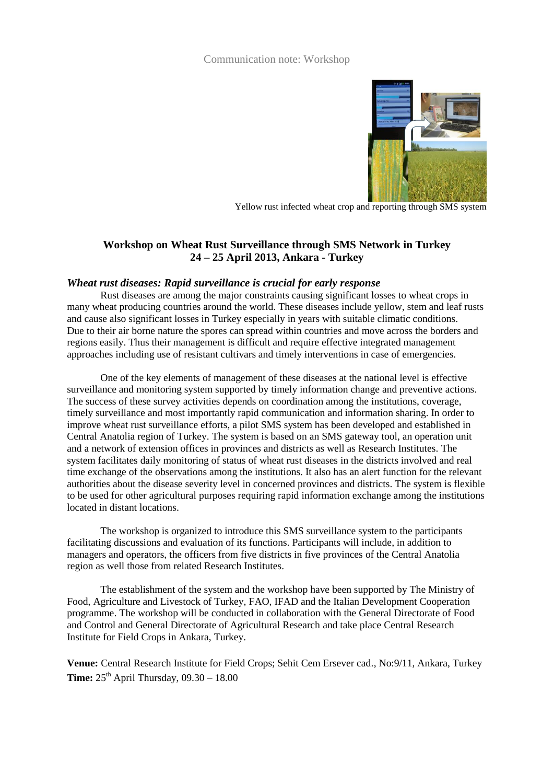## Communication note: Workshop



Yellow rust infected wheat crop and reporting through SMS system

# **Workshop on Wheat Rust Surveillance through SMS Network in Turkey 24 – 25 April 2013, Ankara - Turkey**

#### *Wheat rust diseases: Rapid surveillance is crucial for early response*

Rust diseases are among the major constraints causing significant losses to wheat crops in many wheat producing countries around the world. These diseases include yellow, stem and leaf rusts and cause also significant losses in Turkey especially in years with suitable climatic conditions. Due to their air borne nature the spores can spread within countries and move across the borders and regions easily. Thus their management is difficult and require effective integrated management approaches including use of resistant cultivars and timely interventions in case of emergencies.

One of the key elements of management of these diseases at the national level is effective surveillance and monitoring system supported by timely information change and preventive actions. The success of these survey activities depends on coordination among the institutions, coverage, timely surveillance and most importantly rapid communication and information sharing. In order to improve wheat rust surveillance efforts, a pilot SMS system has been developed and established in Central Anatolia region of Turkey. The system is based on an SMS gateway tool, an operation unit and a network of extension offices in provinces and districts as well as Research Institutes. The system facilitates daily monitoring of status of wheat rust diseases in the districts involved and real time exchange of the observations among the institutions. It also has an alert function for the relevant authorities about the disease severity level in concerned provinces and districts. The system is flexible to be used for other agricultural purposes requiring rapid information exchange among the institutions located in distant locations.

The workshop is organized to introduce this SMS surveillance system to the participants facilitating discussions and evaluation of its functions. Participants will include, in addition to managers and operators, the officers from five districts in five provinces of the Central Anatolia region as well those from related Research Institutes.

The establishment of the system and the workshop have been supported by The Ministry of Food, Agriculture and Livestock of Turkey, FAO, IFAD and the Italian Development Cooperation programme. The workshop will be conducted in collaboration with the General Directorate of Food and Control and General Directorate of Agricultural Research and take place Central Research Institute for Field Crops in Ankara, Turkey.

**Venue:** Central Research Institute for Field Crops; Sehit Cem Ersever cad., No:9/11, Ankara, Turkey **Time:**  $25<sup>th</sup>$  April Thursday,  $09.30 - 18.00$